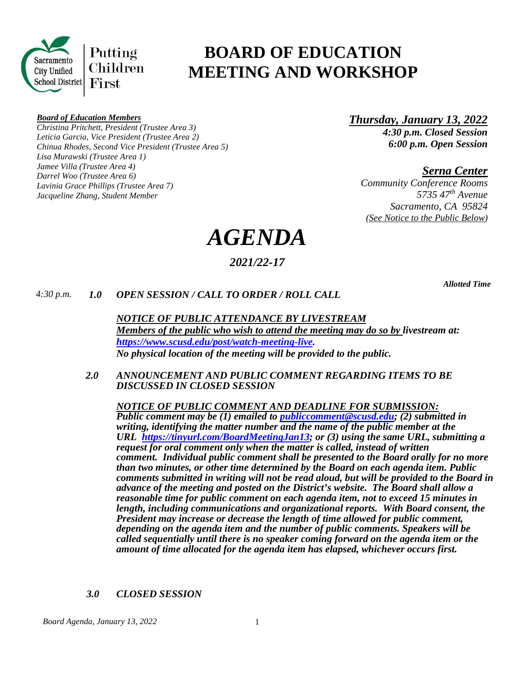

# **BOARD OF EDUCATION MEETING AND WORKSHOP**

#### *Board of Education Members*

*Christina Pritchett, President (Trustee Area 3) Leticia Garcia, Vice President (Trustee Area 2) Chinua Rhodes, Second Vice President (Trustee Area 5) Lisa Murawski (Trustee Area 1) Jamee Villa (Trustee Area 4) Darrel Woo (Trustee Area 6) Lavinia Grace Phillips (Trustee Area 7) Jacqueline Zhang, Student Member*

*Thursday, January 13, 2022 4:30 p.m. Closed Session 6:00 p.m. Open Session*

*Serna Center*

*Community Conference Rooms 5735 47th Avenue Sacramento, CA 95824 (See Notice to the Public Below)*

*AGENDA*

# *2021/22-17*

*Allotted Time*

# *4:30 p.m. 1.0 OPEN SESSION / CALL TO ORDER / ROLL CALL*

*NOTICE OF PUBLIC ATTENDANCE BY LIVESTREAM Members of the public who wish to attend the meeting may do so by livestream at: [https://www.scusd.edu/post/watch-meeting-live.](https://www.scusd.edu/post/watch-meeting-live) No physical location of the meeting will be provided to the public.* 

*2.0 ANNOUNCEMENT AND PUBLIC COMMENT REGARDING ITEMS TO BE DISCUSSED IN CLOSED SESSION*

*NOTICE OF PUBLIC COMMENT AND DEADLINE FOR SUBMISSION: Public comment may be (1) emailed to [publiccomment@scusd.edu;](mailto:publiccomment@scusd.edu) (2) submitted in writing, identifying the matter number and the name of the public member at the URL [https://tinyurl.com/BoardMeetingJan13;](https://tinyurl.com/BoardMeetingJan13) or (3) using the same URL, submitting a request for oral comment only when the matter is called, instead of written comment. Individual public comment shall be presented to the Board orally for no more than two minutes, or other time determined by the Board on each agenda item. Public comments submitted in writing will not be read aloud, but will be provided to the Board in advance of the meeting and posted on the District's website. The Board shall allow a reasonable time for public comment on each agenda item, not to exceed 15 minutes in length, including communications and organizational reports. With Board consent, the President may increase or decrease the length of time allowed for public comment, depending on the agenda item and the number of public comments. Speakers will be called sequentially until there is no speaker coming forward on the agenda item or the amount of time allocated for the agenda item has elapsed, whichever occurs first.* 

# *3.0 CLOSED SESSION*

*Board Agenda, January 13, 2022* 1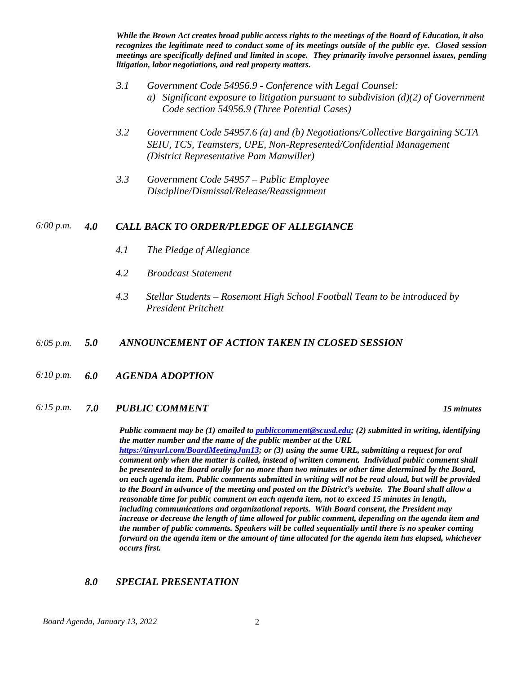*While the Brown Act creates broad public access rights to the meetings of the Board of Education, it also recognizes the legitimate need to conduct some of its meetings outside of the public eye. Closed session meetings are specifically defined and limited in scope. They primarily involve personnel issues, pending litigation, labor negotiations, and real property matters.*

- *3.1 Government Code 54956.9 - Conference with Legal Counsel: a) Significant exposure to litigation pursuant to subdivision (d)(2) of Government Code section 54956.9 (Three Potential Cases)*
- *3.2 Government Code 54957.6 (a) and (b) Negotiations/Collective Bargaining SCTA SEIU, TCS, Teamsters, UPE, Non-Represented/Confidential Management (District Representative Pam Manwiller)*
- *3.3 Government Code 54957 – Public Employee Discipline/Dismissal/Release/Reassignment*

# *6:00 p.m. 4.0 CALL BACK TO ORDER/PLEDGE OF ALLEGIANCE*

- *4.1 The Pledge of Allegiance*
- *4.2 Broadcast Statement*
- *4.3 Stellar Students – Rosemont High School Football Team to be introduced by President Pritchett*

# *6:05 p.m. 5.0 ANNOUNCEMENT OF ACTION TAKEN IN CLOSED SESSION*

*6:10 p.m. 6.0 AGENDA ADOPTION*

#### *6:15 p.m. 7.0 PUBLIC COMMENT 15 minutes*

*Public comment may be (1) emailed t[o publiccomment@scusd.edu;](mailto:publiccomment@scusd.edu) (2) submitted in writing, identifying the matter number and the name of the public member at the URL [https://tinyurl.com/BoardMeetingJan13;](https://tinyurl.com/BoardMeetingJan13) or (3) using the same URL, submitting a request for oral comment only when the matter is called, instead of written comment. Individual public comment shall be presented to the Board orally for no more than two minutes or other time determined by the Board, on each agenda item. Public comments submitted in writing will not be read aloud, but will be provided to the Board in advance of the meeting and posted on the District's website. The Board shall allow a reasonable time for public comment on each agenda item, not to exceed 15 minutes in length, including communications and organizational reports. With Board consent, the President may increase or decrease the length of time allowed for public comment, depending on the agenda item and the number of public comments. Speakers will be called sequentially until there is no speaker coming forward on the agenda item or the amount of time allocated for the agenda item has elapsed, whichever occurs first.* 

#### *8.0 SPECIAL PRESENTATION*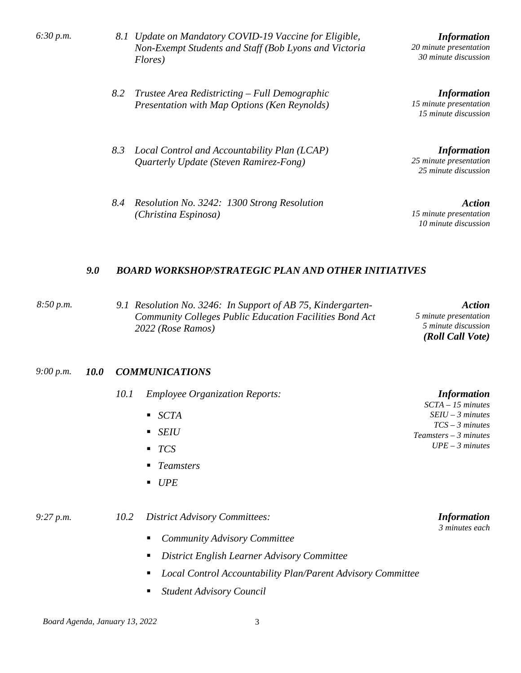| 6:30 p.m. |  |
|-----------|--|
|           |  |

- *6:30 p.m. 8.1 Update on Mandatory COVID-19 Vaccine for Eligible, Non-Exempt Students and Staff (Bob Lyons and Victoria Flores)*
- *8.2 Trustee Area Redistricting – Full Demographic Presentation with Map Options (Ken Reynolds)*
- *8.3 Local Control and Accountability Plan (LCAP) Quarterly Update (Steven Ramirez-Fong)*
- *8.4 Resolution No. 3242: 1300 Strong Resolution (Christina Espinosa)*

*Information 20 minute presentation 30 minute discussion*

*Information 15 minute presentation 15 minute discussion*

*Information 25 minute presentation 25 minute discussion*

*Action 15 minute presentation 10 minute discussion*

# *9.0 BOARD WORKSHOP/STRATEGIC PLAN AND OTHER INITIATIVES*

*8:50 p.m. 9.1 Resolution No. 3246: In Support of AB 75, Kindergarten-Community Colleges Public Education Facilities Bond Act 2022 (Rose Ramos)*

*Action 5 minute presentation 5 minute discussion (Roll Call Vote)*

#### *9:00 p.m. 10.0 COMMUNICATIONS*

| 10.1<br><b>Employee Organization Reports:</b> |
|-----------------------------------------------|
|-----------------------------------------------|

- *SCTA*
- *SEIU*
- *TCS*
- *Teamsters*
- *UPE*

*9:27 p.m. 10.2 District Advisory Committees:*

- *Community Advisory Committee*
- *District English Learner Advisory Committee*
- *Local Control Accountability Plan/Parent Advisory Committee*
- *Student Advisory Council*

*SEIU – 3 minutes TCS – 3 minutes*

*Information SCTA – 15 minutes* 

*Teamsters – 3 minutes UPE – 3 minutes* 

> *Information 3 minutes each*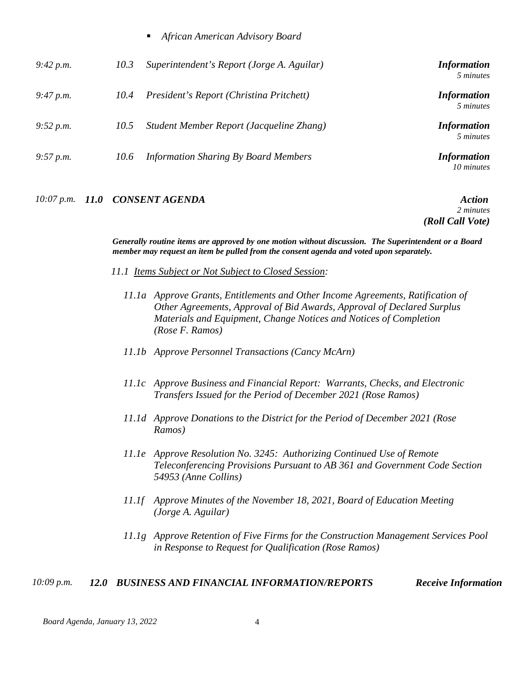|  | African American Advisory Board |  |
|--|---------------------------------|--|
|--|---------------------------------|--|

| 9:42 p.m. | 10.3 | Superintendent's Report (Jorge A. Aguilar)  | <i>Information</i><br>5 minutes  |
|-----------|------|---------------------------------------------|----------------------------------|
| 9:47 p.m. | 10.4 | President's Report (Christina Pritchett)    | <i>Information</i><br>5 minutes  |
| 9:52 p.m. | 10.5 | Student Member Report (Jacqueline Zhang)    | <i>Information</i><br>5 minutes  |
| 9:57 p.m. | 10.6 | <b>Information Sharing By Board Members</b> | <i>Information</i><br>10 minutes |

*10:07 p.m. 11.0 CONSENT AGENDA Action*

*2 minutes (Roll Call Vote)*

*Generally routine items are approved by one motion without discussion. The Superintendent or a Board member may request an item be pulled from the consent agenda and voted upon separately.*

- *11.1 Items Subject or Not Subject to Closed Session:*
	- *11.1a Approve Grants, Entitlements and Other Income Agreements, Ratification of Other Agreements, Approval of Bid Awards, Approval of Declared Surplus Materials and Equipment, Change Notices and Notices of Completion (Rose F. Ramos)*
	- *11.1b Approve Personnel Transactions (Cancy McArn)*
	- *11.1c Approve Business and Financial Report: Warrants, Checks, and Electronic Transfers Issued for the Period of December 2021 (Rose Ramos)*
	- *11.1d Approve Donations to the District for the Period of December 2021 (Rose Ramos)*
	- *11.1e Approve Resolution No. 3245: Authorizing Continued Use of Remote Teleconferencing Provisions Pursuant to AB 361 and Government Code Section 54953 (Anne Collins)*
	- *11.1f Approve Minutes of the November 18, 2021, Board of Education Meeting (Jorge A. Aguilar)*
	- *11.1g Approve Retention of Five Firms for the Construction Management Services Pool in Response to Request for Qualification (Rose Ramos)*

#### *10:09 p.m. 12.0 BUSINESS AND FINANCIAL INFORMATION/REPORTS Receive Information*

*Board Agenda, January 13, 2022* 4